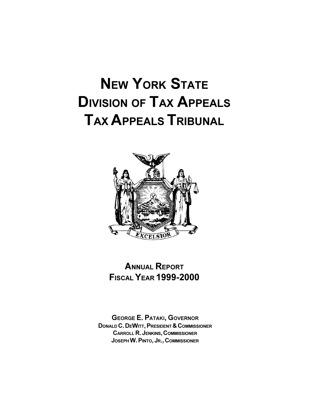# **NEW YORK STATE DIVISION OF TAX APPEALS TAX APPEALS TRIBUNAL**



# **ANNUAL REPORT FISCAL YEAR 1999-2000**

**GEORGE E. PATAKI, GOVERNOR** DONALD C. DEWITT, PRESIDENT & COMMISSIONER **CARROLL R. JENKINS, COMMISSIONER** JOSEPH W. PINTO, JR., COMMISSIONER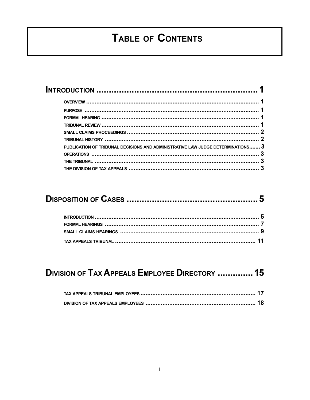# TABLE OF CONTENTS

| $\frac{1}{2}$ TRIBUNAL HISTORY $\frac{1}{2}$                                    |  |
|---------------------------------------------------------------------------------|--|
| PUBLICATION OF TRIBUNAL DECISIONS AND ADMINISTRATIVE LAW JUDGE DETERMINATIONS 3 |  |
|                                                                                 |  |
|                                                                                 |  |
|                                                                                 |  |

# **DIVISION OF TAX APPEALS EMPLOYEE DIRECTORY .............. 15**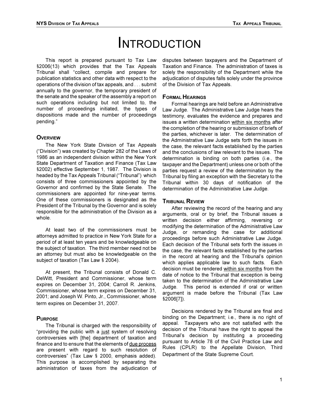# **INTRODUCTION**

This report is prepared pursuant to Tax Law §2006(13) which provides that the Tax Appeals Tribunal shall "collect, compile and prepare for publication statistics and other data with respect to the operations of the division of tax appeals, and . . . submit annually to the governor, the temporary president of the senate and the speaker of the assembly a report on such operations including but not limited to, the number of proceedings initiated, the types of dispositions made and the number of proceedings pending."

#### **OVERVIEW**

The New York State Division of Tax Appeals ("Division") was created by Chapter 282 of the Laws of 1986 as an independent division within the New York State Department of Taxation and Finance (Tax Law §2002) effective September 1, 1987. The Division is headed by the Tax Appeals Tribunal ("Tribunal") which consists of three commissioners appointed by the Governor and confirmed by the State Senate. The commissioners are appointed for nine-year terms. One of these commissioners is designated as the President of the Tribunal by the Governor and is solely responsible for the administration of the Division as a whole.

At least two of the commissioners must be attorneys admitted to practice in New York State for a period of at least ten years and be knowledgeable on the subject of taxation. The third member need not be an attorney but must also be knowledgeable on the subject of taxation (Tax Law § 2004).

At present, the Tribunal consists of Donald C. DeWitt, President and Commissioner, whose term expires on December 31, 2004; Carroll R. Jenkins, Commissioner, whose term expires on December 31, 2001; and Joseph W. Pinto, Jr., Commissioner, whose term expires on December 31, 2007.

#### **PURPOSE**

The Tribunal is charged with the responsibility of "providing the public with a just system of resolving controversies with [the] department of taxation and finance and to ensure that the elements of due process are present with regard to such resolution of controversies" (Tax Law § 2000, emphasis added). This purpose is accomplished by separating the administration of taxes from the adjudication of disputes between taxpayers and the Department of Taxation and Finance. The administration of taxes is solely the responsibility of the Department while the adjudication of disputes falls solely under the province of the Division of Tax Appeals.

#### **FORMAL HEARINGS**

Formal hearings are held before an Administrative Law Judge. The Administrative Law Judge hears the testimony, evaluates the evidence and prepares and issues a written determination within six months after the completion of the hearing or submission of briefs of the parties, whichever is later. The determination of the Administrative Law Judge sets forth the issues in the case, the relevant facts established by the parties and the conclusions of law relevant to the issues. The determination is binding on both parties (i.e., the taxpayer and the Department) unless one or both of the parties request a review of the determination by the Tribunal by filing an exception with the Secretary to the Tribunal within 30 days of notification of the determination of the Administrative Law Judge.

#### **TRIBUNAL REVIEW**

After reviewing the record of the hearing and any arguments, oral or by brief, the Tribunal issues a written decision either affirming, reversing or modifying the determination of the Administrative Law Judge, or remanding the case for additional proceedings before such Administrative Law Judge. Each decision of the Tribunal sets forth the issues in the case, the relevant facts established by the parties in the record at hearing and the Tribunal's opinion which applies applicable law to such facts. Each decision must be rendered within six months from the date of notice to the Tribunal that exception is being taken to the determination of the Administrative Law Judge. This period is extended if oral or written argument is made before the Tribunal (Tax Law §2006[7]).

Decisions rendered by the Tribunal are final and binding on the Department; i.e., there is no right of appeal. Taxpayers who are not satisfied with the decision of the Tribunal have the right to appeal the Tribunal's decision by instituting a proceeding pursuant to Article 78 of the Civil Practice Law and Rules (CPLR) to the Appellate Division, Third Department of the State Supreme Court.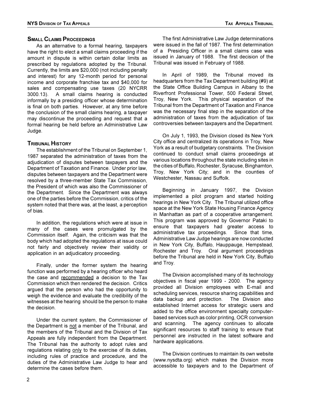#### **SMALL CLAIMS PROCEEDINGS**

As an alternative to a formal hearing, taxpayers have the right to elect a small claims proceeding if the amount in dispute is within certain dollar limits as prescribed by regulations adopted by the Tribunal. Currently, the limits are \$20,000 (not including penalty and interest) for any 12-month period for personal income and corporate franchise tax and \$40,000 for sales and compensating use taxes (20 NYCRR  $3000.13$ ). A small claims hearing is conducted informally by a presiding officer whose determination is final on both parties. However, at any time before the conclusion of the small claims hearing, a taxpayer may discontinue the proceeding and request that a formal hearing be held before an Administrative Law Judge.

#### **TRIBUNAL HISTORY**

The establishment of the Tribunal on September 1, 1987 separated the administration of taxes from the adjudication of disputes between taxpayers and the Department of Taxation and Finance. Under prior law, disputes between taxpayers and the Department were resolved by a three-member State Tax Commission, the President of which was also the Commissioner of the Department. Since the Department was always one of the parties before the Commission, critics of the system noted that there was, at the least, a perception of bias.

In addition, the regulations which were at issue in many of the cases were promulgated by the Commission itself. Again, the criticism was that the body which had adopted the regulations at issue could not fairly and objectively review their validity or application in an adjudicatory proceeding.

Finally, under the former system the hearing function was performed by a hearing officer who heard the case and recommended a decision to the Tax Commission which then rendered the decision. Critics argued that the person who had the opportunity to weigh the evidence and evaluate the credibility of the witnesses at the hearing should be the person to make the decision.

Under the current system, the Commissioner of the Department is not a member of the Tribunal, and the members of the Tribunal and the Division of Tax Appeals are fully independent from the Department. The Tribunal has the authority to adopt rules and regulations relating only to the exercise of its duties, including rules of practice and procedure, and the duties of the Administrative Law Judge to hear and determine the cases before them.

The first Administrative Law Judge determinations were issued in the fall of 1987. The first determination of a Presiding Officer in a small claims case was issued in January of 1988. The first decision of the Tribunal was issued in February of 1988.

In April of 1989, the Tribunal moved its headquarters from the Tax Department building (#9) at the State Office Building Campus in Albany to the Riverfront Professional Tower, 500 Federal Street, Troy, New York. This physical separation of the Tribunal from the Department of Taxation and Finance was the necessary final step in the separation of the administration of taxes from the adjudication of tax controversies between taxpayers and the Department.

On July 1, 1993, the Division closed its New York City office and centralized its operations in Troy, New York as a result of budgetary constraints. The Division continued to conduct small claims proceedings at various locations throughout the state including sites in the cities of Buffalo, Rochester, Syracuse, Binghamton, Troy, New York City; and in the counties of Westchester, Nassau and Suffolk.

Beginning in January 1997, the Division implemented a pilot program and started holding hearings in New York City. The Tribunal utilized office space at the New York State Housing Finance Agency in Manhattan as part of a cooperative arrangement. This program was approved by Governor Pataki to ensure that taxpayers had greater access to administrative tax proceedings. Since that time, Administrative Law Judge hearings are now conducted in New York City, Buffalo, Hauppauge, Hempstead, Rochester and Troy. Oral argument proceedings before the Tribunal are held in New York City, Buffalo and Troy.

The Division accomplished many of its technology objectives in fiscal year 1999 - 2000. The agency provided all Division employees with E-mail and scheduling services, resource sharing capabilities and data backup and protection. The Division also established Internet access for strategic users and added to the office environment specialty computerbased services such as color printing, OCR conversion and scanning. The agency continues to allocate significant resources to staff training to ensure that personnel are instructed in the latest software and hardware applications.

The Division continues to maintain its own website (www.nysdta.org) which makes the Division more accessible to taxpayers and to the Department of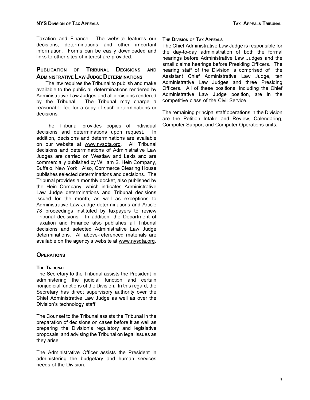Taxation and Finance. The website features our decisions, determinations and other important information. Forms can be easily downloaded and links to other sites of interest are provided.

#### PUBLICATION OF TRIBUNAL DECISIONS **AND ADMINISTRATIVE LAW JUDGE DETERMINATIONS**

The law requires the Tribunal to publish and make available to the public all determinations rendered by Administrative Law Judges and all decisions rendered by the Tribunal. The Tribunal may charge a reasonable fee for a copy of such determinations or decisions.

The Tribunal provides copies of individual decisions and determinations upon request. In addition, decisions and determinations are available on our website at www.nvsdta.org. All Tribunal decisions and determinations of Administrative Law Judges are carried on Westlaw and Lexis and are commercially published by William S. Hein Company, Buffalo, New York. Also, Commerce Clearing House publishes selected determinations and decisions. The Tribunal provides a monthly docket, also published by the Hein Company, which indicates Administrative Law Judge determinations and Tribunal decisions issued for the month, as well as exceptions to Administrative Law Judge determinations and Article 78 proceedings instituted by taxpayers to review Tribunal decisions. In addition, the Department of Taxation and Finance also publishes all Tribunal decisions and selected Administrative Law Judge determinations. All above-referenced materials are available on the agency's website at www.nysdta.org.

#### **OPFRATIONS**

#### **THE TRIBUNAL**

The Secretary to the Tribunal assists the President in administering the judicial function and certain nonjudicial functions of the Division. In this regard, the Secretary has direct supervisory authority over the Chief Administrative Law Judge as well as over the Division's technology staff.

The Counsel to the Tribunal assists the Tribunal in the preparation of decisions on cases before it as well as preparing the Division's regulatory and legislative proposals, and advising the Tribunal on legal issues as they arise.

The Administrative Officer assists the President in administering the budgetary and human services needs of the Division.

#### THE DIVISION OF TAX APPEALS

The Chief Administrative Law Judge is responsible for the day-to-day administration of both the formal hearings before Administrative Law Judges and the small claims hearings before Presiding Officers. The hearing staff of the Division is comprised of the Assistant Chief Administrative Law Judge, ten Administrative Law Judges and three Presiding Officers. All of these positions, including the Chief Administrative Law Judge position, are in the competitive class of the Civil Service.

The remaining principal staff operations in the Division are the Petition Intake and Review, Calendaring, Computer Support and Computer Operations units.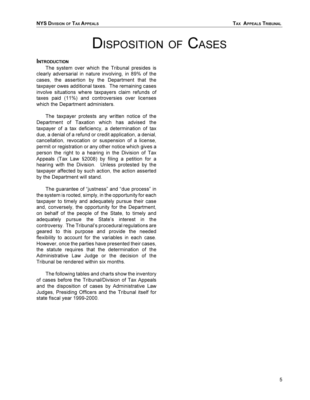# **DISPOSITION OF CASES**

#### **INTRODUCTION**

The system over which the Tribunal presides is clearly adversarial in nature involving, in 89% of the cases, the assertion by the Department that the taxpayer owes additional taxes. The remaining cases involve situations where taxpayers claim refunds of taxes paid (11%) and controversies over licenses which the Department administers.

The taxpayer protests any written notice of the Department of Taxation which has advised the taxpayer of a tax deficiency, a determination of tax due, a denial of a refund or credit application, a denial, cancellation, revocation or suspension of a license, permit or registration or any other notice which gives a person the right to a hearing in the Division of Tax Appeals (Tax Law §2008) by filing a petition for a hearing with the Division. Unless protested by the taxpayer affected by such action, the action asserted by the Department will stand.

The guarantee of "justness" and "due process" in the system is rooted, simply, in the opportunity for each taxpayer to timely and adequately pursue their case and, conversely, the opportunity for the Department, on behalf of the people of the State, to timely and adequately pursue the State's interest in the controversy. The Tribunal's procedural regulations are geared to this purpose and provide the needed flexibility to account for the variables in each case. However, once the parties have presented their cases, the statute requires that the determination of the Administrative Law Judge or the decision of the Tribunal be rendered within six months.

The following tables and charts show the inventory of cases before the Tribunal/Division of Tax Appeals and the disposition of cases by Administrative Law Judges, Presiding Officers and the Tribunal itself for state fiscal year 1999-2000.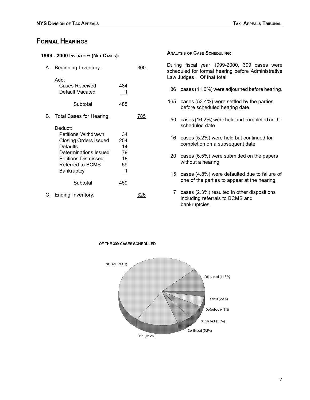### **FORMAL HEARINGS**

| 1999 - 2000 INVENTORY (NET CASES): |                                                                                                                                                                                   |                                        |     |
|------------------------------------|-----------------------------------------------------------------------------------------------------------------------------------------------------------------------------------|----------------------------------------|-----|
| А.                                 | Beginning Inventory:                                                                                                                                                              |                                        | 300 |
|                                    | Add:<br>Cases Received<br>Default Vacated                                                                                                                                         | 484<br>1                               |     |
|                                    | Subtotal                                                                                                                                                                          | 485                                    |     |
| B.                                 | Total Cases for Hearing:                                                                                                                                                          |                                        | 785 |
|                                    | Deduct:<br><b>Petitions Withdrawn</b><br><b>Closing Orders Issued</b><br>Defaults<br><b>Determinations Issued</b><br><b>Petitions Dismissed</b><br>Referred to BCMS<br>Bankruptcy | 34<br>254<br>14<br>79<br>18<br>59<br>1 |     |
|                                    | Subtotal                                                                                                                                                                          | 459                                    |     |
| C.                                 | Ending Inventory:                                                                                                                                                                 |                                        |     |
|                                    |                                                                                                                                                                                   |                                        |     |

**ANALYSIS OF CASE SCHEDULING:** 

During fiscal year 1999-2000, 309 cases were scheduled for formal hearing before Administrative Law Judges . Of that total:

- 36 cases (11.6%) were adjourned before hearing.
- 165 cases (53.4%) were settled by the parties before scheduled hearing date.
- 50 cases (16.2%) were held and completed on the scheduled date.
- 16 cases (5.2%) were held but continued for completion on a subsequent date.
- 20 cases (6.5%) were submitted on the papers without a hearing.
- 15 cases (4.8%) were defaulted due to failure of one of the parties to appear at the hearing.
- 7 cases (2.3%) resulted in other dispositions including referrals to BCMS and bankruptcies.



OF THE 309 CASES SCHEDULED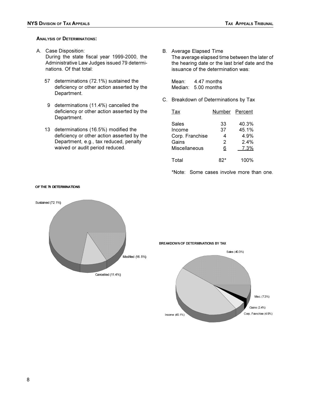#### **ANALYSIS OF DETERMINATIONS:**

A. Case Disposition:

During the state fiscal year 1999-2000, the Administrative Law Judges issued 79 determinations. Of that total:

- 57 determinations (72.1%) sustained the deficiency or other action asserted by the Department.
- 9 determinations (11.4%) cancelled the deficiency or other action asserted by the Department.
- 13 determinations (16.5%) modified the deficiency or other action asserted by the Department, e.g., tax reduced, penalty waived or audit period reduced.

B. Average Elapsed Time The average elapsed time between the later of the hearing date or the last brief date and the issuance of the determination was:

Mean: 4.47 months Median: 5.00 months

C. Breakdown of Determinations by Tax

| <u>Тах</u>                                  | Number Percent     |                                |
|---------------------------------------------|--------------------|--------------------------------|
| Sales<br>Income<br>Corp. Franchise<br>Gains | 33<br>37<br>4<br>2 | 40.3%<br>45.1%<br>4.9%<br>2.4% |
| Miscellaneous                               | 6                  | 7.3%                           |
| Total                                       |                    | 100%                           |

\*Note: Some cases involve more than one.



#### OF THE 79 DE TERMINATIONS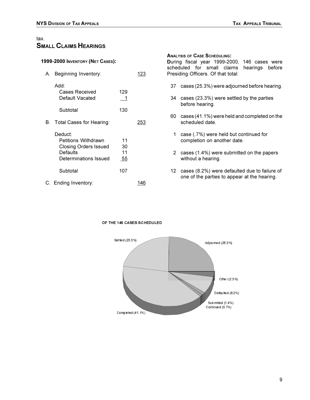#### tax. **SMALL CLAIMS HEARINGS**

#### 1999-2000 INVENTORY (NET CASES):

| А. | Beginning Inventory:                                                                                       |                       |     |
|----|------------------------------------------------------------------------------------------------------------|-----------------------|-----|
|    | Add:<br>Cases Received<br>Default Vacated                                                                  | 129<br>1              |     |
|    | Subtotal                                                                                                   | 130                   |     |
| В. | Total Cases for Hearing:                                                                                   |                       | 253 |
|    | Deduct:<br><b>Petitions Withdrawn</b><br><b>Closing Orders Issued</b><br>Defaults<br>Determinations Issued | 11<br>30<br>11<br>-55 |     |
|    | Subtotal                                                                                                   | 107                   |     |
|    | C. Ending Inventory:                                                                                       |                       |     |

#### **ANALYSIS OF CASE SCHEDULING:**

During fiscal year 1999-2000, 146 cases were scheduled for small claims hearings before Presiding Officers. Of that total:

- 37 cases (25.3%) were adjourned before hearing.
- 34 cases (23.3%) were settled by the parties before hearing.
- 60 cases (41.1%) were held and completed on the scheduled date.
- 1 case (.7%) were held but continued for completion on another date.
- 2 cases (1.4%) were submitted on the papers without a hearing.
- 12 cases (8.2%) were defaulted due to failure of one of the parties to appear at the hearing.

### OF THE 146 CASES SCHEDULED

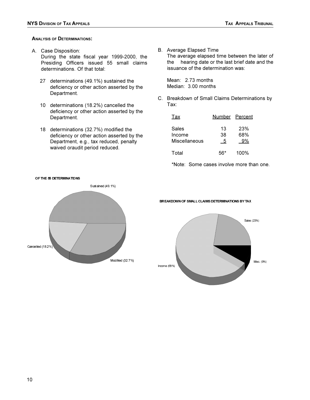#### **ANALYSIS OF DETERMINATIONS:**

A. Case Disposition:

During the state fiscal year 1999-2000, the Presiding Officers issued 55 small claims determinations. Of that total:

- 27 determinations (49.1%) sustained the deficiency or other action asserted by the Department.
- 10 determinations (18.2%) cancelled the deficiency or other action asserted by the Department.
- 18 determinations (32.7%) modified the deficiency or other action asserted by the Department, e.g., tax reduced, penalty waived oraudit period reduced.

B. Average Elapsed Time The average elapsed time between the later of

the hearing date or the last brief date and the issuance of the determination was:

Mean: 2.73 months Median: 3.00 months

C. Breakdown of Small Claims Determinations by Tax:

| Tax                    | Number Percent |            |
|------------------------|----------------|------------|
| Sales<br>Income        | 13<br>38       | 23%<br>68% |
| Miscellaneous<br>Total | 5              | 9%<br>100% |
|                        |                |            |

\*Note: Some cases involve more than one.



BREAKDOWN OF SMALL CLAIMS DETERMINATIONS BY TAX

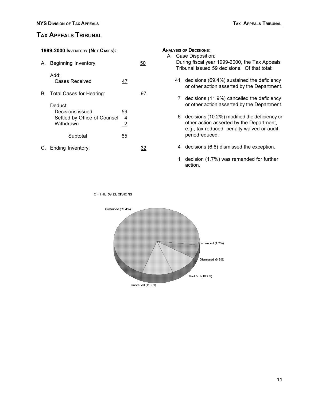### TAX APPEALS TRIBUNAL

1999-2000 INVENTORY (NET CASES):

| А. | Beginning Inventory:                                                     |                           |    |
|----|--------------------------------------------------------------------------|---------------------------|----|
|    | :Add<br>Cases Received                                                   | 47                        |    |
|    | B. Total Cases for Hearing:                                              |                           | 97 |
|    | Deduct:<br>Decisions issued<br>Settled by Office of Counsel<br>Withdrawn | 59<br>4<br>$\overline{2}$ |    |
|    | Subtotal                                                                 | 65                        |    |
|    | C. Ending Inventory:                                                     |                           |    |

TAX APPEALS TRIBUNAL

| <b>ANALYSIS OF DECISIONS:</b><br>A. Case Disposition:<br>During fiscal year 1999-2000, the Tax Appeals<br>Tribunal issued 59 decisions. Of that total: |                                                                                                                                                          |  |  |  |
|--------------------------------------------------------------------------------------------------------------------------------------------------------|----------------------------------------------------------------------------------------------------------------------------------------------------------|--|--|--|
| 41                                                                                                                                                     | decisions (69.4%) sustained the deficiency<br>or other action asserted by the Department.                                                                |  |  |  |
|                                                                                                                                                        | 7 decisions (11.9%) cancelled the deficiency<br>or other action asserted by the Department.                                                              |  |  |  |
| 6.                                                                                                                                                     | decisions (10.2%) modified the deficiency or<br>other action asserted by the Department,<br>e.g., tax reduced, penalty waived or audit<br>periodreduced. |  |  |  |

4 decisions (6.8) dismissed the exception.

1 decision (1.7%) was remanded for further action.

OF THE 59 DECISIONS

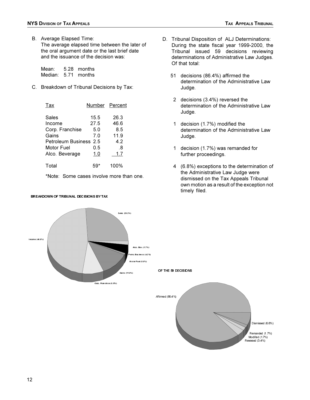B. Average Elapsed Time:

The average elapsed time between the later of the oral argument date or the last brief date and the issuance of the decision was:

Mean: 5.28 months Median: 5.71 months

C. Breakdown of Tribunal Decisions by Tax:

| Tax                    | Number Percent |      |
|------------------------|----------------|------|
| Sales                  | 15.5           | 26.3 |
| Income                 | 27.5           | 46.6 |
| Corp. Franchise        | 5.0            | 8.5  |
| Gains                  | 7.0            | 11.9 |
| Petroleum Business 2.5 |                | 4.2  |
| Motor Fuel             | 0.5            | .8   |
| Alco. Beverage         | 1.0            | 1.7  |
| Total                  |                | 100% |

\*Note: Some cases involve more than one.

#### BREAKDOWN OF TRIBUNAL DECISIONS BY TAX

- D. Tribunal Disposition of ALJ Determinations: During the state fiscal year 1999-2000, the Tribunal issued 59 decisions reviewing determinations of Administrative Law Judges. Of that total:
	- 51 decisions (86.4%) affirmed the determination of the Administrative Law Judge.
	- 2 decisions (3.4%) reversed the determination of the Administrative Law Judge.
	- 1 decision (1.7%) modified the determination of the Administrative Law Judge.
	- 1 decision (1.7%) was remanded for further proceedings.
	- 4 (6.8%) exceptions to the determination of the Administrative Law Judge were dismissed on the Tax Appeals Tribunal own motion as a result of the exception not timely filed.

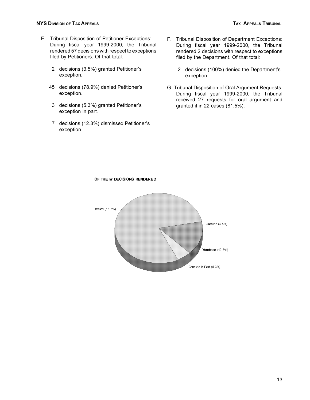- E. Tribunal Disposition of Petitioner Exceptions: During fiscal year 1999-2000, the Tribunal rendered 57 decisions with respect to exceptions filed by Petitioners. Of that total:
	- 2 decisions (3.5%) granted Petitioner's exception.
	- 45 decisions (78.9%) denied Petitioner's exception.
	- 3 decisions (5.3%) granted Petitioner's exception in part.
	- 7 decisions (12.3%) dismissed Petitioner's exception.
- F. Tribunal Disposition of Department Exceptions: During fiscal year 1999-2000, the Tribunal rendered 2 decisions with respect to exceptions filed by the Department. Of that total:
	- 2 decisions (100%) denied the Department's exception.
- G. Tribunal Disposition of Oral Argument Requests: During fiscal year 1999-2000, the Tribunal received 27 requests for oral argument and granted it in 22 cases (81.5%).

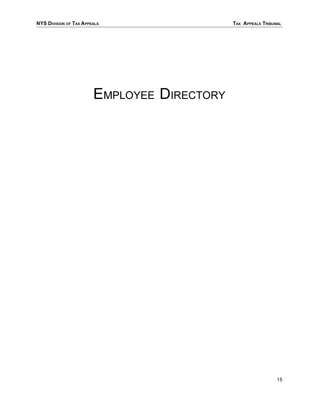# **EMPLOYEE DIRECTORY**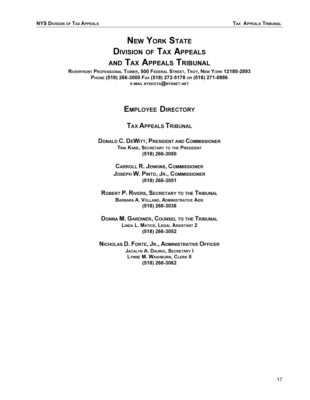# **NEW YORK STATE DIVISION OF TAX APPEALS** AND TAX APPEALS TRIBUNAL

RIVERFRONT PROFESSIONAL TOWER, 500 FEDERAL STREET, TROY, NEW YORK 12180-2893 PHONE (518) 266-3000 FAX (518) 272-5178 OR (518) 271-0886 E-MAIL NYSDOTA@NYSNET.NET

## **EMPLOYEE DIRECTORY**

### **TAX APPEALS TRIBUNAL**

**DONALD C. DEWITT, PRESIDENT AND COMMISSIONER** TINA KANE, SECRETARY TO THE PRESIDENT (518) 266-3050

> **CARROLL R. JENKINS, COMMISSIONER** JOSEPH W. PINTO, JR., COMMISSIONER (518) 266-3051

ROBERT P. RIVERS, SECRETARY TO THE TRIBUNAL **BARBARA A. VOLLAND, ADMINISTRATIVE AIDE** (518) 266-3036

**DONNA M. GARDINER, COUNSEL TO THE TRIBUNAL** LINDA L. MATICE, LEGAL ASSISTANT 2 (518) 266-3052

NICHOLAS D. FORTE, JR., ADMINISTRATIVE OFFICER **JACALYN A. DAURIO, SECRETARY I** LYNNE M. WASHBURN, CLERK II (518) 266-3062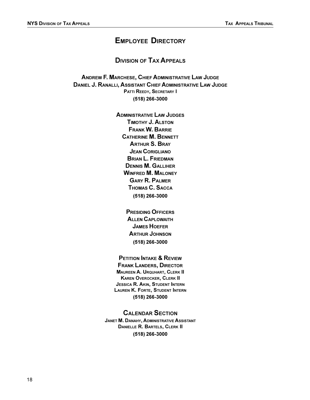## **EMPLOYEE DIRECTORY**

#### **DIVISION OF TAX APPEALS**

ANDREW F. MARCHESE, CHIEF ADMINISTRATIVE LAW JUDGE **DANIEL J. RANALLI, ASSISTANT CHIEF ADMINISTRATIVE LAW JUDGE** PATTI REEDY, SECRETARY I (518) 266-3000

> **ADMINISTRATIVE LAW JUDGES TIMOTHY J. ALSTON FRANK W. BARRIE CATHERINE M. BENNETT ARTHUR S. BRAY JEAN CORIGLIANO BRIAN L. FRIEDMAN DENNIS M. GALLIHER WINFRED M. MALONEY GARY R. PALMER** THOMAS C. SACCA (518) 266-3000

> > **PRESIDING OFFICERS ALLEN CAPLOWAITH JAMES HOEFER ARTHUR JOHNSON** (518) 266-3000

#### **PETITION INTAKE & REVIEW**

**FRANK LANDERS, DIRECTOR MAUREEN A. URQUHART, CLERK II KAREN OVEROCKER, CLERK II JESSICA R. AKIN, STUDENT INTERN LAUREN K. FORTE, STUDENT INTERN** (518) 266-3000

#### **CALENDAR SECTION**

**JANET M. DANAHY, ADMINISTRATIVE ASSISTANT DANIELLE R. BARTELS, CLERK II** (518) 266-3000